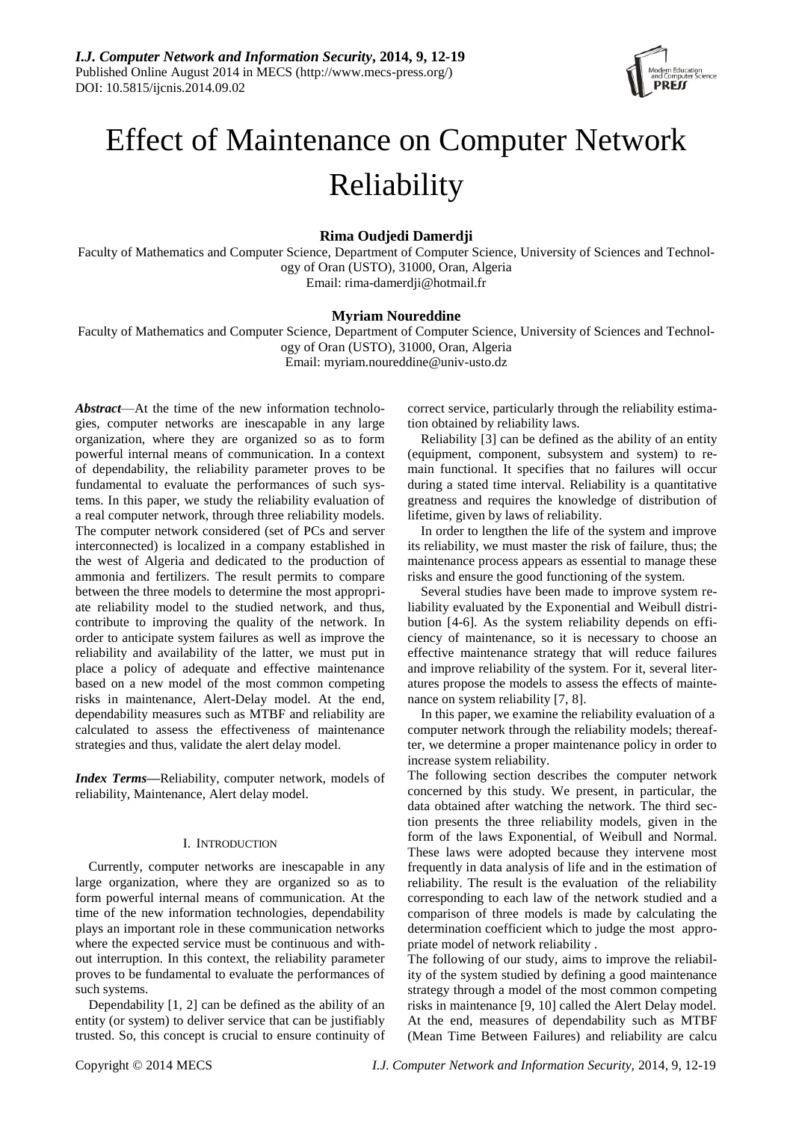

# Effect of Maintenance on Computer Network Reliability

**Rima Oudjedi Damerdji**

Faculty of Mathematics and Computer Science, Department of Computer Science, University of Sciences and Technology of Oran (USTO), 31000, Oran, Algeria Email: [rima-damerdji@hotmail.fr](mailto:rima-damerdji@hotmail.fr)

# **Myriam Noureddine**

Faculty of Mathematics and Computer Science, Department of Computer Science, University of Sciences and Technology of Oran (USTO), 31000, Oran, Algeria Email: myriam.noureddine@univ-usto.dz

*Abstract*—At the time of the new information technologies, computer networks are inescapable in any large organization, where they are organized so as to form powerful internal means of communication. In a context of dependability, the reliability parameter proves to be fundamental to evaluate the performances of such systems. In this paper, we study the reliability evaluation of a real computer network, through three reliability models. The computer network considered (set of PCs and server interconnected) is localized in a company established in the west of Algeria and dedicated to the production of ammonia and fertilizers. The result permits to compare between the three models to determine the most appropriate reliability model to the studied network, and thus, contribute to improving the quality of the network. In order to anticipate system failures as well as improve the reliability and availability of the latter, we must put in place a policy of adequate and effective maintenance based on a new model of the most common competing risks in maintenance, Alert-Delay model. At the end, dependability measures such as MTBF and reliability are calculated to assess the effectiveness of maintenance strategies and thus, validate the alert delay model.

*Index Terms***—**Reliability, computer network, models of reliability, Maintenance, Alert delay model.

# I. INTRODUCTION

Currently, computer networks are inescapable in any large organization, where they are organized so as to form powerful internal means of communication. At the time of the new information technologies, dependability plays an important role in these communication networks where the expected service must be continuous and without interruption. In this context, the reliability parameter proves to be fundamental to evaluate the performances of such systems.

Dependability [1, 2] can be defined as the ability of an entity (or system) to deliver service that can be justifiably trusted. So, this concept is crucial to ensure continuity of correct service, particularly through the reliability estimation obtained by reliability laws.

Reliability [3] can be defined as the ability of an entity (equipment, component, subsystem and system) to remain functional. It specifies that no failures will occur during a stated time interval. Reliability is a quantitative greatness and requires the knowledge of distribution of lifetime, given by laws of reliability.

In order to lengthen the life of the system and improve its reliability, we must master the risk of failure, thus; the maintenance process appears as essential to manage these risks and ensure the good functioning of the system.

Several studies have been made to improve system reliability evaluated by the Exponential and Weibull distribution [4-6]. As the system reliability depends on efficiency of maintenance, so it is necessary to choose an effective maintenance strategy that will reduce failures and improve reliability of the system. For it, several literatures propose the models to assess the effects of maintenance on system reliability [7, 8].

In this paper, we examine the reliability evaluation of a computer network through the reliability models; thereafter, we determine a proper maintenance policy in order to increase system reliability.

The following section describes the computer network concerned by this study. We present, in particular, the data obtained after watching the network. The third section presents the three reliability models, given in the form of the laws Exponential, of Weibull and Normal. These laws were adopted because they intervene most frequently in data analysis of life and in the estimation of reliability. The result is the evaluation of the reliability corresponding to each law of the network studied and a comparison of three models is made by calculating the determination coefficient which to judge the most appropriate model of network reliability .

The following of our study, aims to improve the reliability of the system studied by defining a good maintenance strategy through a model of the most common competing risks in maintenance [9, 10] called the Alert Delay model. At the end, measures of dependability such as MTBF (Mean Time Between Failures) and reliability are calcu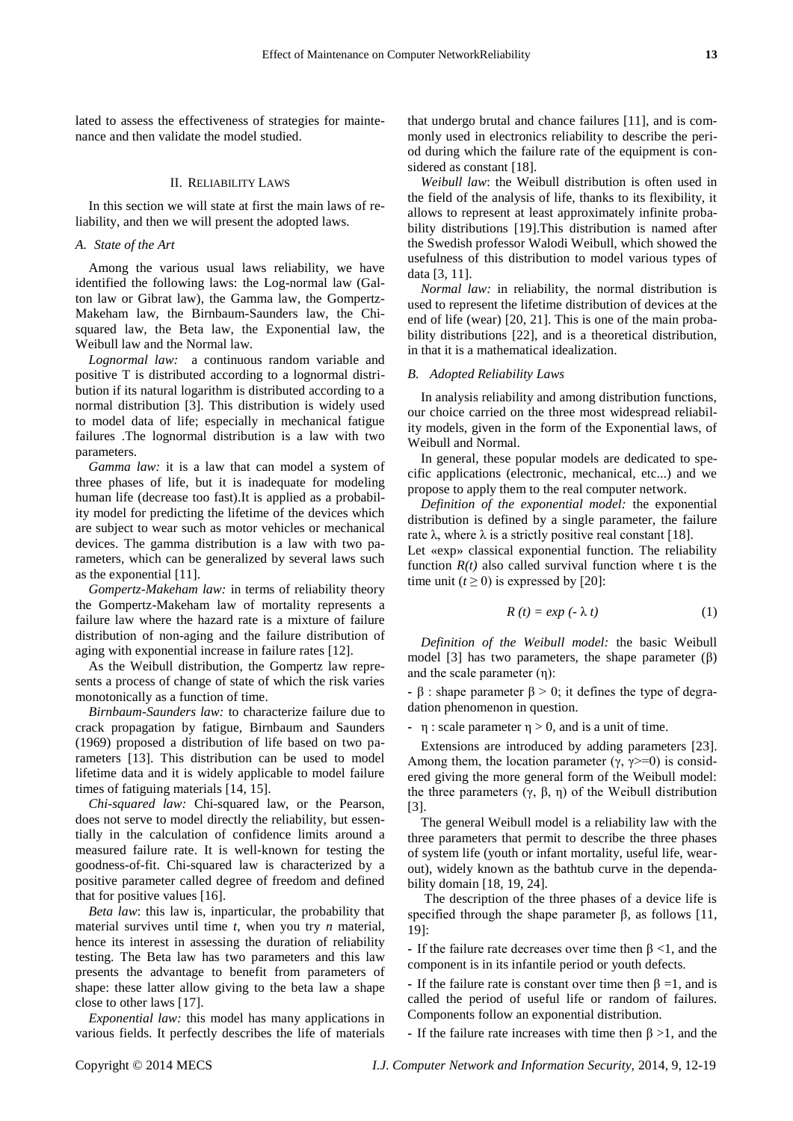lated to assess the effectiveness of strategies for maintenance and then validate the model studied.

## II. RELIABILITY LAWS

In this section we will state at first the main laws of reliability, and then we will present the adopted laws.

#### *A. State of the Art*

Among the various usual laws reliability, we have identified the following laws: the Log-normal law (Galton law or Gibrat law), the Gamma law, the Gompertz-Makeham law, the Birnbaum-Saunders law, the Chisquared law, the Beta law, the Exponential law, the Weibull law and the Normal law.

*Lognormal law:* a continuous random variable and positive T is distributed according to a lognormal distribution if its natural logarithm is distributed according to a normal distribution [3]. This distribution is widely used to model data of life; especially in mechanical fatigue failures .The lognormal distribution is a law with two parameters.

*Gamma law:* it is a law that can model a system of three phases of life, but it is inadequate for modeling human life (decrease too fast).It is applied as a probability model for predicting the lifetime of the devices which are subject to wear such as motor vehicles or mechanical devices. The gamma distribution is a law with two parameters, which can be generalized by several laws such as the exponential [11].

*Gompertz-Makeham law:* in terms of reliability theory the Gompertz-Makeham law of mortality represents a failure law where the hazard rate is a mixture of failure distribution of non-aging and the failure distribution of aging with exponential increase in failure rates [12].

As the Weibull distribution, the Gompertz law represents a process of change of state of which the risk varies monotonically as a function of time.

*Birnbaum-Saunders law:* to characterize failure due to crack propagation by fatigue, Birnbaum and Saunders (1969) proposed a distribution of life based on two parameters [13]. This distribution can be used to model lifetime data and it is widely applicable to model failure times of fatiguing materials [14, 15].

*Chi-squared law:* Chi-squared law, or the Pearson, does not serve to model directly the reliability, but essentially in the calculation of confidence limits around a measured failure rate. It is well-known for testing the goodness-of-fit. Chi-squared law is characterized by a positive parameter called degree of freedom and defined that for positive values [16].

*Beta law*: this law is, inparticular, the probability that material survives until time *t*, when you try *n* material, hence its interest in assessing the duration of reliability testing. The Beta law has two parameters and this law presents the advantage to benefit from parameters of shape: these latter allow giving to the beta law a shape close to other laws [17].

*Exponential law:* this model has many applications in various fields. It perfectly describes the life of materials that undergo brutal and chance failures [11], and is commonly used in electronics reliability to describe the period during which the failure rate of the equipment is considered as constant [18].

*Weibull law*: the Weibull distribution is often used in the field of the analysis of life, thanks to its flexibility, it allows to represent at least approximately infinite probability distributions [19].This distribution is named after the Swedish professor Walodi Weibull, which showed the usefulness of this distribution to model various types of data [3, 11].

*Normal law:* in reliability, the normal distribution is used to represent the lifetime distribution of devices at the end of life (wear) [20, 21]. This is one of the main probability distributions [22], and is a theoretical distribution, in that it is a mathematical idealization.

#### *B. Adopted Reliability Laws*

In analysis reliability and among distribution functions, our choice carried on the three most widespread reliability models, given in the form of the Exponential laws, of Weibull and Normal.

In general, these popular models are dedicated to specific applications (electronic, mechanical, etc...) and we propose to apply them to the real computer network.

*Definition of the exponential model:* the exponential distribution is defined by a single parameter, the failure rate λ, where λ is a strictly positive real constant [18].

Let «exp» classical exponential function. The reliability function  $R(t)$  also called survival function where t is the time unit  $(t \ge 0)$  is expressed by [20]:

$$
R(t) = exp(-\lambda t) \tag{1}
$$

*Definition of the Weibull model:* the basic Weibull model [3] has two parameters, the shape parameter (β) and the scale parameter (η):

**-** β : shape parameter  $β > 0$ ; it defines the type of degradation phenomenon in question.

**-** η : scale parameter η > 0, and is a unit of time.

Extensions are introduced by adding parameters [23]. Among them, the location parameter  $(\gamma, \gamma \geq 0)$  is considered giving the more general form of the Weibull model: the three parameters  $(γ, β, η)$  of the Weibull distribution [3].

The general Weibull model is a reliability law with the three parameters that permit to describe the three phases of system life (youth or infant mortality, useful life, wearout), widely known as the bathtub curve in the dependability domain [18, 19, 24].

The description of the three phases of a device life is specified through the shape parameter  $\beta$ , as follows [11, 19]:

**-** If the failure rate decreases over time then β <1, and the component is in its infantile period or youth defects.

**-** If the failure rate is constant over time then β =1, and is called the period of useful life or random of failures. Components follow an exponential distribution.

**-** If the failure rate increases with time then β >1, and the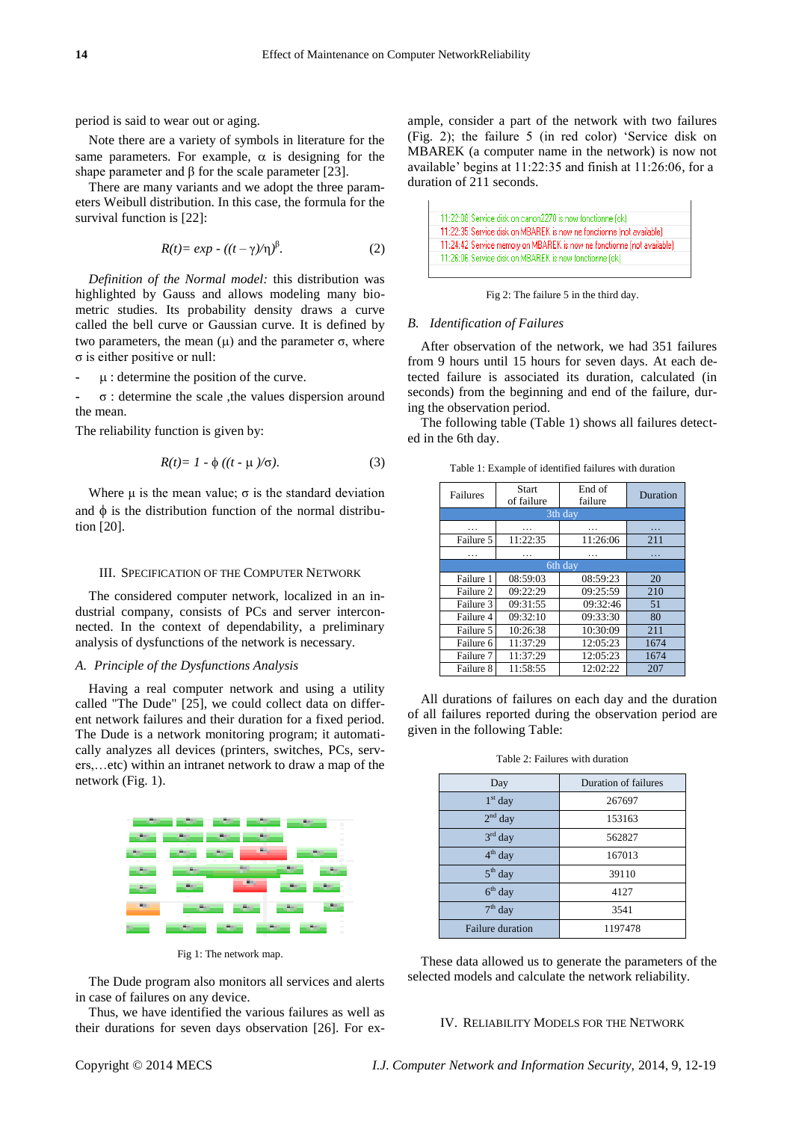period is said to wear out or aging.

Note there are a variety of symbols in literature for the same parameters. For example,  $\alpha$  is designing for the shape parameter and β for the scale parameter [23].

There are many variants and we adopt the three parameters Weibull distribution. In this case, the formula for the survival function is [22]:

$$
R(t) = exp - ((t - \gamma)/\eta)^{\beta}.
$$
 (2)

*Definition of the Normal model:* this distribution was highlighted by Gauss and allows modeling many biometric studies. Its probability density draws a curve called the bell curve or Gaussian curve. It is defined by two parameters, the mean  $(\mu)$  and the parameter  $\sigma$ , where σ is either positive or null:

**-** : determine the position of the curve.

**-** σ : determine the scale ,the values dispersion around the mean.

The reliability function is given by:

$$
R(t)=1-\phi((t-\mu)/\sigma). \tag{3}
$$

Where u is the mean value;  $\sigma$  is the standard deviation and  $\phi$  is the distribution function of the normal distribution [20].

#### III. SPECIFICATION OF THE COMPUTER NETWORK

The considered computer network, localized in an industrial company, consists of PCs and server interconnected. In the context of dependability, a preliminary analysis of dysfunctions of the network is necessary.

# *A. Principle of the Dysfunctions Analysis*

Having a real computer network and using a utility called "The Dude" [25], we could collect data on different network failures and their duration for a fixed period. The Dude is a network monitoring program; it automatically analyzes all devices (printers, switches, PCs, servers,…etc) within an intranet network to draw a map of the network (Fig. 1).



Fig 1: The network map.

The Dude program also monitors all services and alerts in case of failures on any device.

Thus, we have identified the various failures as well as their durations for seven days observation [26]. For example, consider a part of the network with two failures (Fig. 2); the failure 5 (in red color) 'Service disk on MBAREK (a computer name in the network) is now not available' begins at 11:22:35 and finish at 11:26:06, for a duration of 211 seconds.



Fig 2: The failure 5 in the third day.

#### *B. Identification of Failures*

After observation of the network, we had 351 failures from 9 hours until 15 hours for seven days. At each detected failure is associated its duration, calculated (in seconds) from the beginning and end of the failure, during the observation period.

The following table (Table 1) shows all failures detected in the 6th day.

Table 1: Example of identified failures with duration

| Failures  | Start<br>of failure | End of<br>failure | Duration |  |  |
|-----------|---------------------|-------------------|----------|--|--|
| 3th day   |                     |                   |          |  |  |
| .         | .                   | .                 | .        |  |  |
| Failure 5 | 11:22:35            | 11:26:06          | 211      |  |  |
| .         | .                   | .                 | .        |  |  |
| 6th day   |                     |                   |          |  |  |
| Failure 1 | 08:59:03            | 08:59:23          | 20       |  |  |
| Failure 2 | 09:22:29            | 09:25:59          | 210      |  |  |
| Failure 3 | 09:31:55            | 09:32:46          | 51       |  |  |
| Failure 4 | 09:32:10            | 09:33:30          | 80       |  |  |
| Failure 5 | 10:26:38            | 10:30:09          | 211      |  |  |
| Failure 6 | 11:37:29            | 12:05:23          | 1674     |  |  |
| Failure 7 | 11:37:29            | 12:05:23          | 1674     |  |  |
| Failure 8 | 11:58:55            | 12:02:22          | 207      |  |  |

All durations of failures on each day and the duration of all failures reported during the observation period are given in the following Table:

| Day                     | Duration of failures |
|-------------------------|----------------------|
| $1st$ day               | 267697               |
| $2nd$ day               | 153163               |
| $3rd$ day               | 562827               |
| $4th$ day               | 167013               |
| $5th$ day               | 39110                |
| $6th$ day               | 4127                 |
| $7th$ day               | 3541                 |
| <b>Failure duration</b> | 1197478              |

Table 2: Failures with duration

These data allowed us to generate the parameters of the selected models and calculate the network reliability.

#### IV. RELIABILITY MODELS FOR THE NETWORK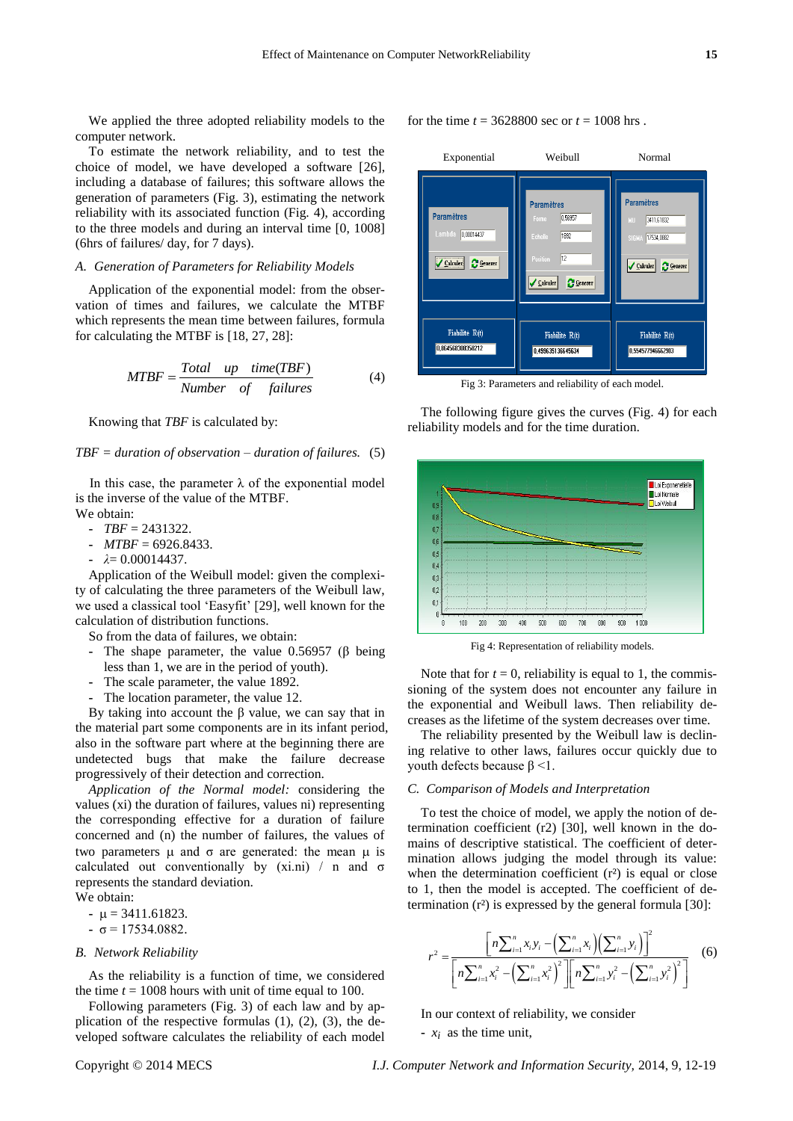We applied the three adopted reliability models to the computer network.

To estimate the network reliability, and to test the choice of model, we have developed a software [26], including a database of failures; this software allows the generation of parameters (Fig. 3), estimating the network reliability with its associated function (Fig. 4), according to the three models and during an interval time [0, 1008] (6hrs of failures/ day, for 7 days).

# *A. Generation of Parameters for Reliability Models*

Application of the exponential model: from the observation of times and failures, we calculate the MTBF which represents the mean time between failures, formula for calculating the MTBF is [18, 27, 28]:

$$
MTBF = \frac{Total \quad up \quad time(TBF)}{Number \quad of \quad failures}
$$
 (4)

Knowing that *TBF* is calculated by:

## *TBF = duration of observation – duration of failures.* (5)

In this case, the parameter  $\lambda$  of the exponential model is the inverse of the value of the MTBF. We obtain:

- $\textbf{F} = 2431322.$
- **-** *MTBF* = 6926.8433.
- **-** *λ*= 0.00014437.

Application of the Weibull model: given the complexity of calculating the three parameters of the Weibull law, we used a classical tool 'Easyfit' [29], well known for the calculation of distribution functions.

So from the data of failures, we obtain:

- **-** The shape parameter, the value 0.56957 (β being less than 1, we are in the period of youth).
- **-** The scale parameter, the value 1892.
- **-** The location parameter, the value 12.

By taking into account the β value, we can say that in the material part some components are in its infant period, also in the software part where at the beginning there are undetected bugs that make the failure decrease progressively of their detection and correction.

*Application of the Normal model:* considering the values (xi) the duration of failures, values ni) representing the corresponding effective for a duration of failure concerned and (n) the number of failures, the values of two parameters  $\mu$  and  $\sigma$  are generated: the mean  $\mu$  is calculated out conventionally by  $(xi.ni)$  / n and  $\sigma$ represents the standard deviation.

We obtain:

- $\mu = 3411.61823$ .
- $\sigma$  = 17534.0882.

## *B. Network Reliability*

As the reliability is a function of time, we considered the time  $t = 1008$  hours with unit of time equal to 100.

Following parameters (Fig. 3) of each law and by application of the respective formulas  $(1)$ ,  $(2)$ ,  $(3)$ , the developed software calculates the reliability of each model for the time  $t = 3628800$  sec or  $t = 1008$  hrs.



Fig 3: Parameters and reliability of each model.

The following figure gives the curves (Fig. 4) for each reliability models and for the time duration.



Fig 4: Representation of reliability models.

Note that for  $t = 0$ , reliability is equal to 1, the commissioning of the system does not encounter any failure in the exponential and Weibull laws. Then reliability decreases as the lifetime of the system decreases over time.

The reliability presented by the Weibull law is declining relative to other laws, failures occur quickly due to youth defects because  $β < 1$ .

## *C. Comparison of Models and Interpretation*

To test the choice of model, we apply the notion of determination coefficient (r2) [30], well known in the domains of descriptive statistical. The coefficient of determination allows judging the model through its value: when the determination coefficient  $(r<sup>3</sup>)$  is equal or close to 1, then the model is accepted. The coefficient of de-

termination (r 3 is expressed by the general formula [30]:

\n
$$
r^{2} = \frac{\left[n \sum_{i=1}^{n} x_{i} y_{i} - \left(\sum_{i=1}^{n} x_{i}\right)\left(\sum_{i=1}^{n} y_{i}\right)\right]^{2}}{\left[n \sum_{i=1}^{n} x_{i}^{2} - \left(\sum_{i=1}^{n} x_{i}^{2}\right)^{2}\right]\left[n \sum_{i=1}^{n} y_{i}^{2} - \left(\sum_{i=1}^{n} y_{i}^{2}\right)^{2}\right]}
$$
\n(6)

In our context of reliability, we consider

**-**  $x_i$  as the time unit,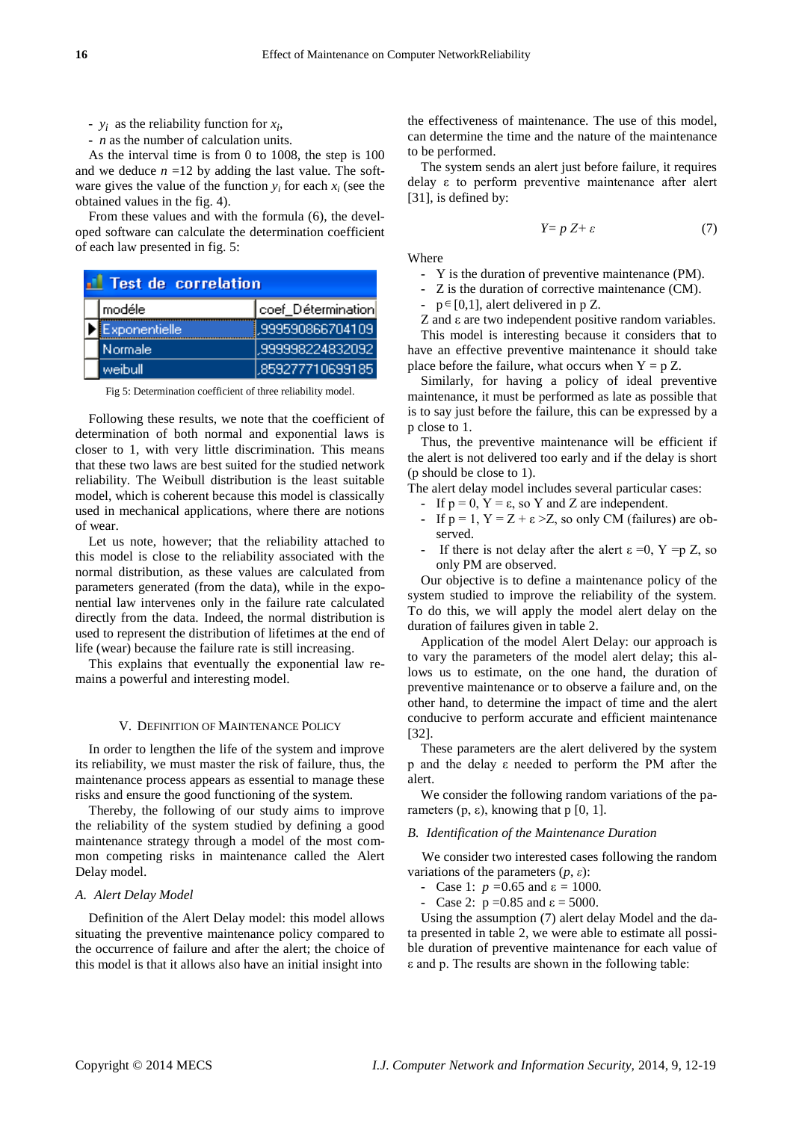-  $y_i$  as the reliability function for  $x_i$ ,

**-** *n* as the number of calculation units.

As the interval time is from 0 to 1008, the step is 100 and we deduce  $n = 12$  by adding the last value. The software gives the value of the function  $y_i$  for each  $x_i$  (see the obtained values in the fig. 4).

From these values and with the formula (6), the developed software can calculate the determination coefficient of each law presented in fig. 5:

| Test de correlation |                |                    |  |  |
|---------------------|----------------|--------------------|--|--|
|                     | modéle         | coef_Détermination |  |  |
|                     | Exponentielle, | ,999590866704109   |  |  |
|                     | Normale        | ,999998224832092   |  |  |
|                     | weibull        | .859277710699185   |  |  |

Fig 5: Determination coefficient of three reliability model.

Following these results, we note that the coefficient of determination of both normal and exponential laws is closer to 1, with very little discrimination. This means that these two laws are best suited for the studied network reliability. The Weibull distribution is the least suitable model, which is coherent because this model is classically used in mechanical applications, where there are notions of wear.

Let us note, however; that the reliability attached to this model is close to the reliability associated with the normal distribution, as these values are calculated from parameters generated (from the data), while in the exponential law intervenes only in the failure rate calculated directly from the data. Indeed, the normal distribution is used to represent the distribution of lifetimes at the end of life (wear) because the failure rate is still increasing.

This explains that eventually the exponential law remains a powerful and interesting model.

## V. DEFINITION OF MAINTENANCE POLICY

In order to lengthen the life of the system and improve its reliability, we must master the risk of failure, thus, the maintenance process appears as essential to manage these risks and ensure the good functioning of the system.

Thereby, the following of our study aims to improve the reliability of the system studied by defining a good maintenance strategy through a model of the most common competing risks in maintenance called the Alert Delay model.

#### *A. Alert Delay Model*

Definition of the Alert Delay model: this model allows situating the preventive maintenance policy compared to the occurrence of failure and after the alert; the choice of this model is that it allows also have an initial insight into

the effectiveness of maintenance. The use of this model, can determine the time and the nature of the maintenance to be performed.

The system sends an alert just before failure, it requires delay ε to perform preventive maintenance after alert [31], is defined by:

$$
Y = p Z + \varepsilon \tag{7}
$$

**Where** 

**-** Y is the duration of preventive maintenance (PM).

- **-** Z is the duration of corrective maintenance (CM).
- **-**  $p \in [0,1]$ , alert delivered in p Z.

Z and ε are two independent positive random variables.

This model is interesting because it considers that to have an effective preventive maintenance it should take place before the failure, what occurs when  $Y = p Z$ .

Similarly, for having a policy of ideal preventive maintenance, it must be performed as late as possible that is to say just before the failure, this can be expressed by a p close to 1.

Thus, the preventive maintenance will be efficient if the alert is not delivered too early and if the delay is short (p should be close to 1).

The alert delay model includes several particular cases:

- **-** If  $p = 0$ ,  $Y = \varepsilon$ , so Y and Z are independent.
- **-** If  $p = 1$ ,  $Y = Z + \varepsilon > Z$ , so only CM (failures) are observed.
- If there is not delay after the alert  $\varepsilon = 0$ ,  $Y = p Z$ , so only PM are observed.

Our objective is to define a maintenance policy of the system studied to improve the reliability of the system. To do this, we will apply the model alert delay on the duration of failures given in table 2.

Application of the model Alert Delay: our approach is to vary the parameters of the model alert delay; this allows us to estimate, on the one hand, the duration of preventive maintenance or to observe a failure and, on the other hand, to determine the impact of time and the alert conducive to perform accurate and efficient maintenance [32].

These parameters are the alert delivered by the system p and the delay ε needed to perform the PM after the alert.

We consider the following random variations of the parameters (p, ε), knowing that p [0, 1].

# *B. Identification of the Maintenance Duration*

We consider two interested cases following the random variations of the parameters  $(p, \varepsilon)$ :

- **-** Case 1:  $p = 0.65$  and  $\varepsilon = 1000$ .
- **Case 2:**  $p = 0.85$  and  $ε = 5000$ .

Using the assumption (7) alert delay Model and the data presented in table 2, we were able to estimate all possible duration of preventive maintenance for each value of ε and p. The results are shown in the following table: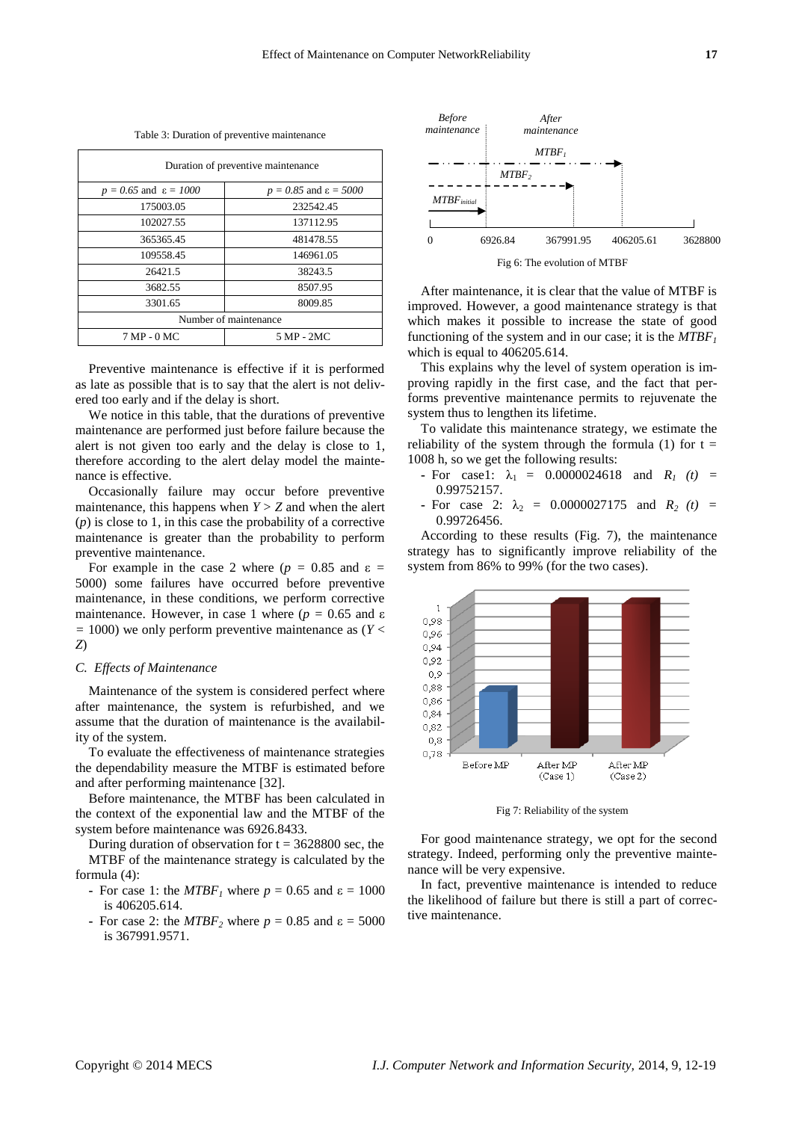Table 3: Duration of preventive maintenance

| Duration of preventive maintenance  |                                     |  |  |
|-------------------------------------|-------------------------------------|--|--|
| $p = 0.65$ and $\varepsilon = 1000$ | $p = 0.85$ and $\varepsilon = 5000$ |  |  |
| 175003.05                           | 232542.45                           |  |  |
| 102027.55                           | 137112.95                           |  |  |
| 365365.45                           | 481478.55                           |  |  |
| 109558.45                           | 146961.05                           |  |  |
| 26421.5                             | 38243.5                             |  |  |
| 3682.55                             | 8507.95                             |  |  |
| 3301.65                             | 8009.85                             |  |  |
| Number of maintenance               |                                     |  |  |
| 7 MP - 0 MC                         | 5 MP - 2MC                          |  |  |

Preventive maintenance is effective if it is performed as late as possible that is to say that the alert is not delivered too early and if the delay is short.

We notice in this table, that the durations of preventive maintenance are performed just before failure because the alert is not given too early and the delay is close to 1, therefore according to the alert delay model the maintenance is effective.

Occasionally failure may occur before preventive maintenance, this happens when  $Y > Z$  and when the alert (*p*) is close to 1, in this case the probability of a corrective maintenance is greater than the probability to perform preventive maintenance.

For example in the case 2 where ( $p = 0.85$  and  $\varepsilon =$ 5000) some failures have occurred before preventive maintenance, in these conditions, we perform corrective maintenance. However, in case 1 where  $(p = 0.65$  and  $\varepsilon$ *=* 1000) we only perform preventive maintenance as (*Y* < *Z*)

## *C. Effects of Maintenance*

Maintenance of the system is considered perfect where after maintenance, the system is refurbished, and we assume that the duration of maintenance is the availability of the system.

To evaluate the effectiveness of maintenance strategies the dependability measure the MTBF is estimated before and after performing maintenance [32].

Before maintenance, the MTBF has been calculated in the context of the exponential law and the MTBF of the system before maintenance was 6926.8433.

During duration of observation for  $t = 3628800$  sec, the MTBF of the maintenance strategy is calculated by the formula (4):

- **-** For case 1: the *MTBF<sub>1</sub>* where  $p = 0.65$  and  $\varepsilon = 1000$ is 406205.614.
- **-** For case 2: the  $MTBF_2$  where  $p = 0.85$  and  $\varepsilon = 5000$ is 367991.9571.



After maintenance, it is clear that the value of MTBF is improved. However, a good maintenance strategy is that which makes it possible to increase the state of good functioning of the system and in our case; it is the *MTBF<sup>1</sup>* which is equal to 406205.614.

This explains why the level of system operation is improving rapidly in the first case, and the fact that performs preventive maintenance permits to rejuvenate the system thus to lengthen its lifetime.

To validate this maintenance strategy, we estimate the reliability of the system through the formula (1) for  $t =$ 1008 h, so we get the following results:

- **-** For case1:  $\lambda_1 = 0.0000024618$  and  $R_i(t) =$ 0.99752157.
- **-** For case 2:  $\lambda_2$  = 0.0000027175 and  $R_2$  (t) = 0.99726456.

According to these results (Fig. 7), the maintenance strategy has to significantly improve reliability of the system from 86% to 99% (for the two cases).



Fig 7: Reliability of the system

For good maintenance strategy, we opt for the second strategy. Indeed, performing only the preventive maintenance will be very expensive.

In fact, preventive maintenance is intended to reduce the likelihood of failure but there is still a part of corrective maintenance.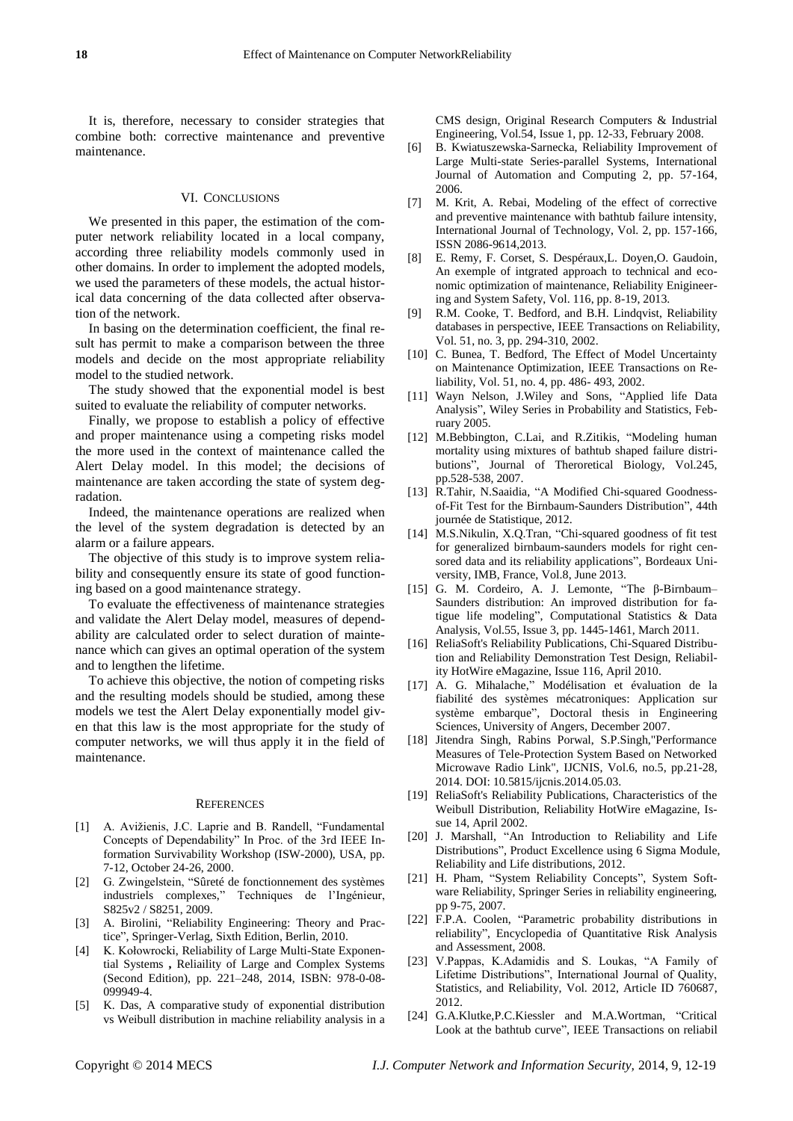## VI. CONCLUSIONS

We presented in this paper, the estimation of the computer network reliability located in a local company, according three reliability models commonly used in other domains. In order to implement the adopted models, we used the parameters of these models, the actual historical data concerning of the data collected after observation of the network.

In basing on the determination coefficient, the final result has permit to make a comparison between the three models and decide on the most appropriate reliability model to the studied network.

The study showed that the exponential model is best suited to evaluate the reliability of computer networks.

Finally, we propose to establish a policy of effective and proper maintenance using a competing risks model the more used in the context of maintenance called the Alert Delay model. In this model; the decisions of maintenance are taken according the state of system degradation.

Indeed, the maintenance operations are realized when the level of the system degradation is detected by an alarm or a failure appears.

The objective of this study is to improve system reliability and consequently ensure its state of good functioning based on a good maintenance strategy.

To evaluate the effectiveness of maintenance strategies and validate the Alert Delay model, measures of dependability are calculated order to select duration of maintenance which can gives an optimal operation of the system and to lengthen the lifetime.

To achieve this objective, the notion of competing risks and the resulting models should be studied, among these models we test the Alert Delay exponentially model given that this law is the most appropriate for the study of computer networks, we will thus apply it in the field of maintenance.

#### **REFERENCES**

- [1] A. Avižienis, J.C. Laprie and B. Randell, "Fundamental Concepts of Dependability" In Proc. of the 3rd IEEE Information Survivability Workshop (ISW-2000), USA, pp. 7-12, October 24-26, 2000.
- [2] G. Zwingelstein, "S ûret é de fonctionnement des systèmes industriels complexes," Techniques de l'Ingénieur, S825v2 / S8251, 2009.
- [3] A. Birolini, "Reliability Engineering: Theory and Practice", Springer-Verlag, Sixth Edition, Berlin, 2010.
- [4] K. Kołowrocki, Reliability of Large Multi-State Exponential Systems **,** [Reliaility](http://www.sciencedirect.com.www.sndl1.arn.dz/science/book/9780080999494) of Large and Complex Systems (Second [Edition\),](http://www.sciencedirect.com.www.sndl1.arn.dz/science/book/9780080999494) pp. 221–248, 2014, ISBN: 978-0-08- 099949-4.
- [5] K. Das, A comparative [study of exponential distribution](http://www.sciencedirect.com.www.sndl1.arn.dz/science/article/pii/S0360835207001210)  [vs Weibull distribution in machine reliability analysis in a](http://www.sciencedirect.com.www.sndl1.arn.dz/science/article/pii/S0360835207001210)

[CMS design,](http://www.sciencedirect.com.www.sndl1.arn.dz/science/article/pii/S0360835207001210) Original Research Computers & Industrial Engineering, Vol.54, Issue 1, pp. 12-33, February 2008.

- [6] B. Kwiatuszewska-Sarnecka, Reliability Improvement of Large Multi-state Series-parallel Systems, International Journal of Automation and Computing 2, pp. 57-164, 2006.
- [7] M. Krit, A. Rebai, Modeling of the effect of corrective and preventive maintenance with bathtub failure intensity, International Journal of Technology, Vol. 2, pp. 157-166, ISSN 2086-9614,2013.
- [8] E. Remy, F. Corset, S. Despéraux,L. Doyen,O. Gaudoin, An exemple of intgrated approach to technical and economic optimization of maintenance, Reliability Enigineering and System Safety, Vol. 116, pp. 8-19, 2013.
- [9] R.M. Cooke, T. Bedford, and B.H. Lindqvist, Reliability databases in perspective, IEEE Transactions on Reliability, Vol. 51, no. 3, pp. 294-310, 2002.
- [10] C. Bunea, T. Bedford, The Effect of Model Uncertainty on Maintenance Optimization, IEEE Transactions on Reliability, Vol. 51, no. 4, pp. 486- 493, 2002.
- [11] Wayn Nelson, J.Wiley and Sons, "Applied life Data Analysis", Wiley Series in Probability and Statistics, February 2005.
- [12] M.Bebbington, C.Lai, and R.Zitikis, "Modeling human mortality using mixtures of bathtub shaped failure distributions", Journal of Theroretical Biology, Vol.245, pp.528-538, 2007.
- [13] R.Tahir, N.Saaidia, "A Modified Chi-squared Goodnessof-Fit Test for the Birnbaum-Saunders Distribution", 44th journée de Statistique, 2012.
- [14] M.S.Nikulin, X.Q.Tran, "Chi-squared goodness of fit test for generalized birnbaum-saunders models for right censored data and its reliability applications", Bordeaux University, IMB, France, Vol.8, June 2013.
- [15] G. M. Cordeiro, A. J. Lemonte, "The  $\beta$ -Birnbaum– Saunders distribution: An improved distribution for fatigue life modeling", Computational Statistics & Data Analysis, Vol.55, Issue 3, pp. 1445-1461, March 2011.
- [16] ReliaSoft's Reliability Publications, Chi-Squared Distribution and Reliability Demonstration Test Design, Reliability HotWire eMagazine, Issue 116, April 2010.
- [17] A. G. Mihalache," Mod disation et évaluation de la fiabilité des systèmes mécatroniques: Application sur système embarque", Doctoral thesis in Engineering Sciences, University of Angers, December 2007.
- [18] Jitendra Singh, Rabins Porwal, S.P.Singh,"Performance Measures of Tele-Protection System Based on Networked Microwave Radio Link", IJCNIS, Vol.6, no.5, pp.21-28, 2014. DOI: 10.5815/ijcnis.2014.05.03.
- [19] ReliaSoft's Reliability Publications, Characteristics of the Weibull Distribution, Reliability HotWire eMagazine, Issue 14, April 2002.
- [20] J. Marshall, "An Introduction to Reliability and Life Distributions‖, Product Excellence using 6 Sigma Module, Reliability and Life distributions, 2012.
- [21] H. Pham, "System Reliability Concepts", System Software Reliability, Springer Series in reliability engineering, pp 9-75, 2007.
- [22] F.P.A. Coolen, "Parametric probability distributions in reliability", Encyclopedia of Quantitative Risk Analysis and Assessment, 2008.
- [23] V.Pappas, K.Adamidis and S. Loukas, "A Family of Lifetime Distributions", International Journal of Quality, Statistics, and Reliability, Vol. 2012, Article ID 760687, 2012.
- [24] G.A.Klutke, P.C.Kiessler and M.A.Wortman, "Critical Look at the bathtub curve", IEEE Transactions on reliabil